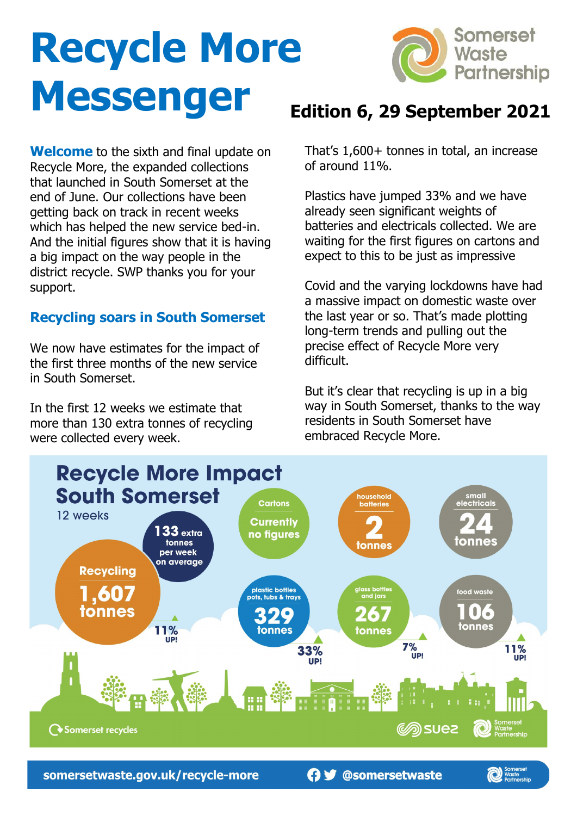# **Recycle More Messenger**



**Welcome** to the sixth and final update on Recycle More, the expanded collections that launched in South Somerset at the end of June. Our collections have been getting back on track in recent weeks which has helped the new service bed-in. And the initial figures show that it is having a big impact on the way people in the district recycle. SWP thanks you for your support.

# **Recycling soars in South Somerset**

We now have estimates for the impact of the first three months of the new service in South Somerset.

In the first 12 weeks we estimate that more than 130 extra tonnes of recycling were collected every week.

# **Edition 6, 29 September 2021**

That's 1,600+ tonnes in total, an increase of around 11%.

Plastics have jumped 33% and we have already seen significant weights of batteries and electricals collected. We are waiting for the first figures on cartons and expect to this to be just as impressive

Covid and the varying lockdowns have had a massive impact on domestic waste over the last year or so. That's made plotting long-term trends and pulling out the precise effect of Recycle More very difficult.

But it's clear that recycling is up in a big way in South Somerset, thanks to the way residents in South Somerset have embraced Recycle More.